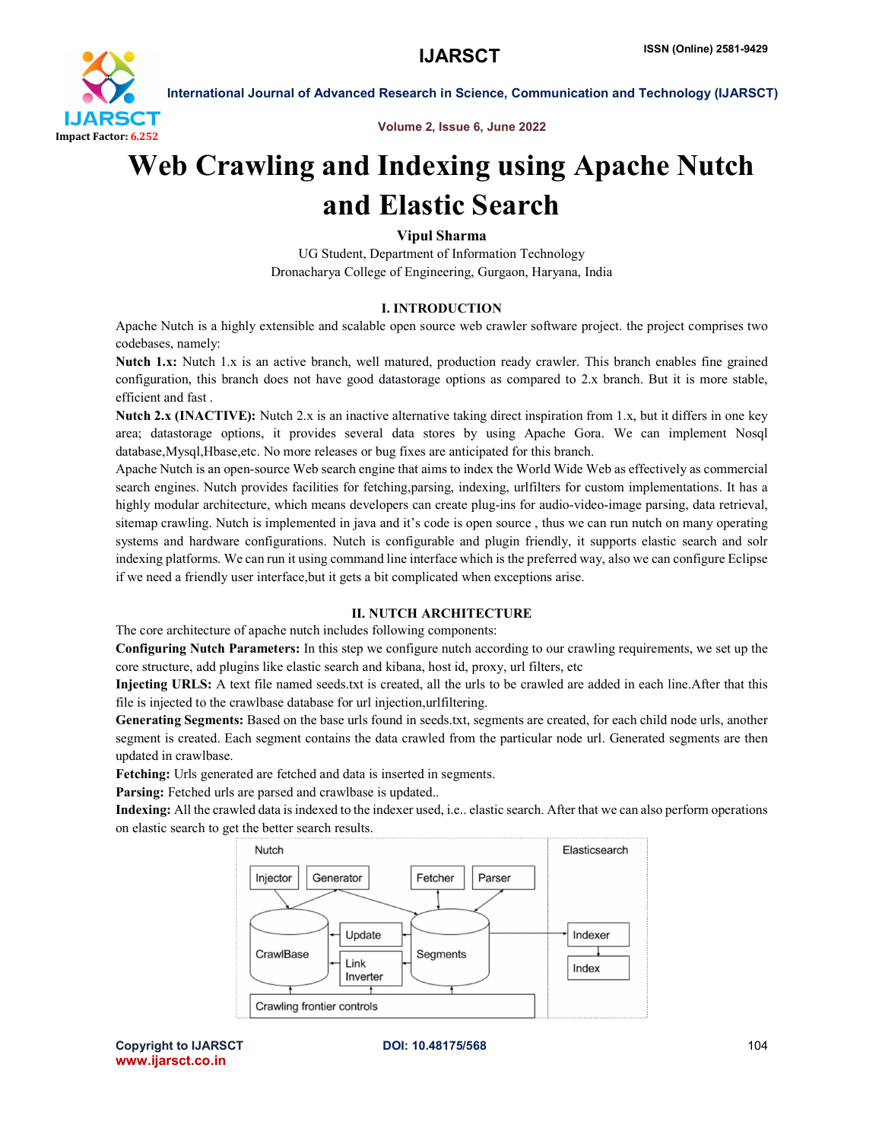

International Journal of Advanced Research in Science, Communication and Technology (IJARSCT)

Volume 2, Issue 6, June 2022

# Web Crawling and Indexing using Apache Nutch and Elastic Search

Vipul Sharma

UG Student, Department of Information Technology Dronacharya College of Engineering, Gurgaon, Haryana, India

# I. INTRODUCTION

Apache Nutch is a highly extensible and scalable open source web crawler software project. the project comprises two codebases, namely:

Nutch 1.x: Nutch 1.x is an active branch, well matured, production ready crawler. This branch enables fine grained configuration, this branch does not have good datastorage options as compared to 2.x branch. But it is more stable, efficient and fast .

Nutch 2.x (INACTIVE): Nutch 2.x is an inactive alternative taking direct inspiration from 1.x, but it differs in one key area; datastorage options, it provides several data stores by using Apache Gora. We can implement Nosql database,Mysql,Hbase,etc. No more releases or bug fixes are anticipated for this branch.

Apache Nutch is an open-source Web search engine that aims to index the World Wide Web as effectively as commercial search engines. Nutch provides facilities for fetching,parsing, indexing, urlfilters for custom implementations. It has a highly modular architecture, which means developers can create plug-ins for audio-video-image parsing, data retrieval, sitemap crawling. Nutch is implemented in java and it's code is open source , thus we can run nutch on many operating systems and hardware configurations. Nutch is configurable and plugin friendly, it supports elastic search and solr indexing platforms. We can run it using command line interface which is the preferred way, also we can configure Eclipse if we need a friendly user interface,but it gets a bit complicated when exceptions arise.

# II. NUTCH ARCHITECTURE

The core architecture of apache nutch includes following components:

Configuring Nutch Parameters: In this step we configure nutch according to our crawling requirements, we set up the core structure, add plugins like elastic search and kibana, host id, proxy, url filters, etc

Injecting URLS: A text file named seeds.txt is created, all the urls to be crawled are added in each line.After that this file is injected to the crawlbase database for url injection,urlfiltering.

Generating Segments: Based on the base urls found in seeds.txt, segments are created, for each child node urls, another segment is created. Each segment contains the data crawled from the particular node url. Generated segments are then updated in crawlbase.

Fetching: Urls generated are fetched and data is inserted in segments.

Parsing: Fetched urls are parsed and crawlbase is updated..

Indexing: All the crawled data is indexed to the indexer used, i.e.. elastic search. After that we can also perform operations on elastic search to get the better search results.



Copyright to IJARSCT **DOI: 10.48175/568** 104 www.ijarsct.co.in